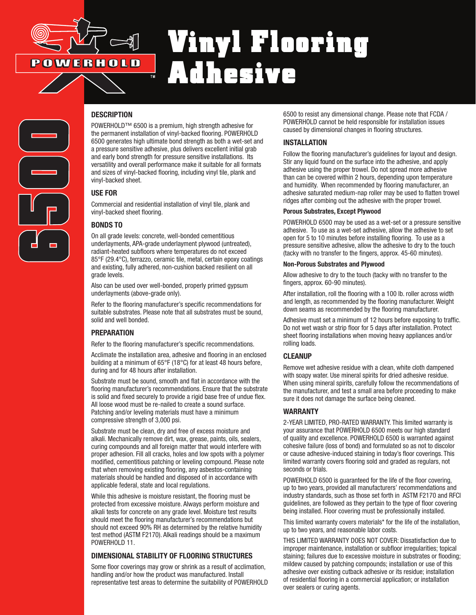

# Vinyl Flooring Adhesive



## **DESCRIPTION**

POWERHOLD™ 6500 is a premium, high strength adhesive for the permanent installation of vinyl-backed flooring. POWERHOLD 6500 generates high ultimate bond strength as both a wet-set and a pressure sensitive adhesive, plus delivers excellent initial grab and early bond strength for pressure sensitive installations. Its versatility and overall performance make it suitable for all formats and sizes of vinyl-backed flooring, including vinyl tile, plank and vinyl-backed sheet.

### USE FOR

Commercial and residential installation of vinyl tile, plank and vinyl-backed sheet flooring.

## BONDS TO

On all grade levels: concrete, well-bonded cementitious underlayments, APA-grade underlayment plywood (untreated), radiant-heated subfloors where temperatures do not exceed 85°F (29.4°C), terrazzo, ceramic tile, metal, certain epoxy coatings and existing, fully adhered, non-cushion backed resilient on all grade levels.

Also can be used over well-bonded, properly primed gypsum underlayments (above-grade only).

Refer to the flooring manufacturer's specific recommendations for suitable substrates. Please note that all substrates must be sound, solid and well bonded.

## **PREPARATION**

Refer to the flooring manufacturer's specific recommendations.

Acclimate the installation area, adhesive and flooring in an enclosed building at a minimum of 65°F (18°C) for at least 48 hours before, during and for 48 hours after installation.

Substrate must be sound, smooth and flat in accordance with the flooring manufacturer's recommendations. Ensure that the substrate is solid and fixed securely to provide a rigid base free of undue flex. All loose wood must be re-nailed to create a sound surface. Patching and/or leveling materials must have a minimum compressive strength of 3,000 psi.

Substrate must be clean, dry and free of excess moisture and alkali. Mechanically remove dirt, wax, grease, paints, oils, sealers, curing compounds and all foreign matter that would interfere with proper adhesion. Fill all cracks, holes and low spots with a polymer modified, cementitious patching or leveling compound. Please note that when removing existing flooring, any asbestos-containing materials should be handled and disposed of in accordance with applicable federal, state and local regulations.

While this adhesive is moisture resistant, the flooring must be protected from excessive moisture. Always perform moisture and alkali tests for concrete on any grade level. Moisture test results should meet the flooring manufacturer's recommendations but should not exceed 90% RH as determined by the relative humidity test method (ASTM F2170). Alkali readings should be a maximum POWERHOLD 11.

## DIMENSIONAL STABILITY OF FLOORING STRUCTURES

Some floor coverings may grow or shrink as a result of acclimation, handling and/or how the product was manufactured. Install representative test areas to determine the suitability of POWERHOLD

6500 to resist any dimensional change. Please note that FCDA / POWERHOLD cannot be held responsible for installation issues caused by dimensional changes in flooring structures.

## INSTALLATION

Follow the flooring manufacturer's guidelines for layout and design. Stir any liquid found on the surface into the adhesive, and apply adhesive using the proper trowel. Do not spread more adhesive than can be covered within 2 hours, depending upon temperature and humidity. When recommended by flooring manufacturer, an adhesive saturated medium-nap roller may be used to flatten trowel ridges after combing out the adhesive with the proper trowel.

#### Porous Substrates, Except Plywood

POWERHOLD 6500 may be used as a wet-set or a pressure sensitive adhesive. To use as a wet-set adhesive, allow the adhesive to set open for 5 to 10 minutes before installing flooring. To use as a pressure sensitive adhesive, allow the adhesive to dry to the touch (tacky with no transfer to the fingers, approx. 45-60 minutes).

#### Non-Porous Substrates and Plywood

Allow adhesive to dry to the touch (tacky with no transfer to the fingers, approx. 60-90 minutes).

After installation, roll the flooring with a 100 lb. roller across width and length, as recommended by the flooring manufacturer. Weight down seams as recommended by the flooring manufacturer.

Adhesive must set a minimum of 12 hours before exposing to traffic. Do not wet wash or strip floor for 5 days after installation. Protect sheet flooring installations when moving heavy appliances and/or rolling loads.

## **CLEANUP**

Remove wet adhesive residue with a clean, white cloth dampened with soapy water. Use mineral spirits for dried adhesive residue. When using mineral spirits, carefully follow the recommendations of the manufacturer, and test a small area before proceeding to make sure it does not damage the surface being cleaned.

### WARRANTY

2-YEAR LIMITED, PRO-RATED WARRANTY. This limited warranty is your assurance that POWERHOLD 6500 meets our high standard of quality and excellence. POWERHOLD 6500 is warranted against cohesive failure (loss of bond) and formulated so as not to discolor or cause adhesive-induced staining in today's floor coverings. This limited warranty covers flooring sold and graded as regulars, not seconds or trials.

POWERHOLD 6500 is guaranteed for the life of the floor covering, up to two years, provided all manufacturers' recommendations and industry standards, such as those set forth in ASTM F2170 and RFCI guidelines, are followed as they pertain to the type of floor covering being installed. Floor covering must be professionally installed.

This limited warranty covers materials\* for the life of the installation, up to two years, and reasonable labor costs.

THIS LIMITED WARRANTY DOES NOT COVER: Dissatisfaction due to improper maintenance, installation or subfloor irregularities; topical staining; failures due to excessive moisture in substrates or flooding; mildew caused by patching compounds; installation or use of this adhesive over existing cutback adhesive or its residue; installation of residential flooring in a commercial application; or installation over sealers or curing agents.